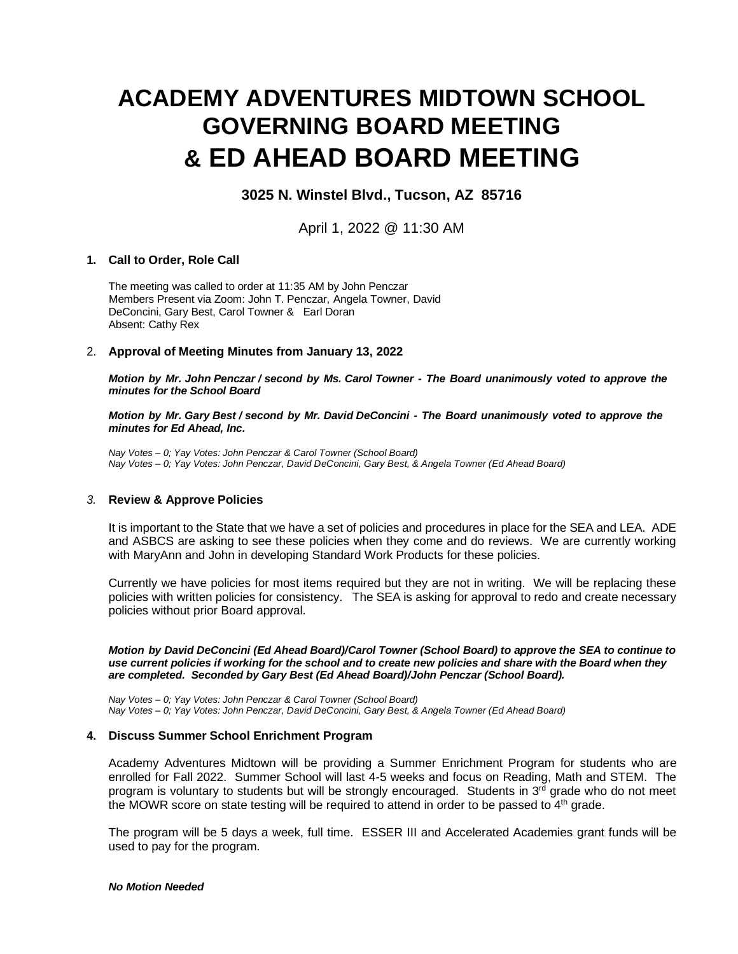# **ACADEMY ADVENTURES MIDTOWN SCHOOL GOVERNING BOARD MEETING & ED AHEAD BOARD MEETING**

# **3025 N. Winstel Blvd., Tucson, AZ 85716**

April 1, 2022 @ 11:30 AM

#### **1. Call to Order, Role Call**

The meeting was called to order at 11:35 AM by John Penczar Members Present via Zoom: John T. Penczar, Angela Towner, David DeConcini, Gary Best, Carol Towner & Earl Doran Absent: Cathy Rex

#### 2. **Approval of Meeting Minutes from January 13, 2022**

*Motion by Mr. John Penczar / second by Ms. Carol Towner - The Board unanimously voted to approve the minutes for the School Board*

*Motion by Mr. Gary Best / second by Mr. David DeConcini - The Board unanimously voted to approve the minutes for Ed Ahead, Inc.*

*Nay Votes – 0; Yay Votes: John Penczar & Carol Towner (School Board) Nay Votes – 0; Yay Votes: John Penczar, David DeConcini, Gary Best, & Angela Towner (Ed Ahead Board)*

# *3.* **Review & Approve Policies**

It is important to the State that we have a set of policies and procedures in place for the SEA and LEA. ADE and ASBCS are asking to see these policies when they come and do reviews. We are currently working with MaryAnn and John in developing Standard Work Products for these policies.

Currently we have policies for most items required but they are not in writing. We will be replacing these policies with written policies for consistency. The SEA is asking for approval to redo and create necessary policies without prior Board approval.

*Motion by David DeConcini (Ed Ahead Board)/Carol Towner (School Board) to approve the SEA to continue to use current policies if working for the school and to create new policies and share with the Board when they are completed. Seconded by Gary Best (Ed Ahead Board)/John Penczar (School Board).*

*Nay Votes – 0; Yay Votes: John Penczar & Carol Towner (School Board) Nay Votes – 0; Yay Votes: John Penczar, David DeConcini, Gary Best, & Angela Towner (Ed Ahead Board)*

#### **4. Discuss Summer School Enrichment Program**

Academy Adventures Midtown will be providing a Summer Enrichment Program for students who are enrolled for Fall 2022. Summer School will last 4-5 weeks and focus on Reading, Math and STEM. The program is voluntary to students but will be strongly encouraged. Students in  $3^{rd}$  grade who do not meet the MOWR score on state testing will be required to attend in order to be passed to  $4<sup>th</sup>$  grade.

The program will be 5 days a week, full time. ESSER III and Accelerated Academies grant funds will be used to pay for the program.